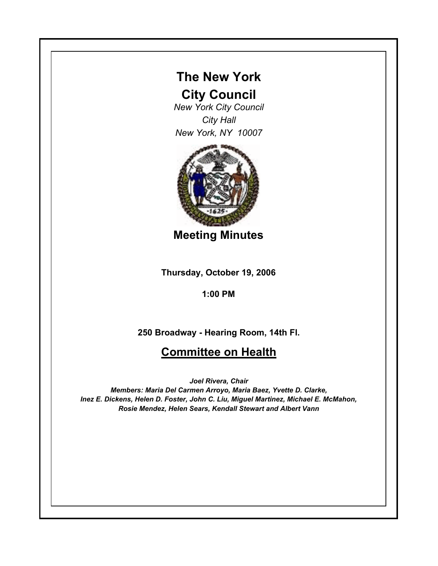## **The New York**

## **City Council**

*New York City Council City Hall New York, NY 10007*



**Meeting Minutes**

**Thursday, October 19, 2006**

**1:00 PM**

**250 Broadway - Hearing Room, 14th Fl.**

## **Committee on Health**

*Joel Rivera, Chair*

*Members: Maria Del Carmen Arroyo, Maria Baez, Yvette D. Clarke, Inez E. Dickens, Helen D. Foster, John C. Liu, Miguel Martinez, Michael E. McMahon, Rosie Mendez, Helen Sears, Kendall Stewart and Albert Vann*